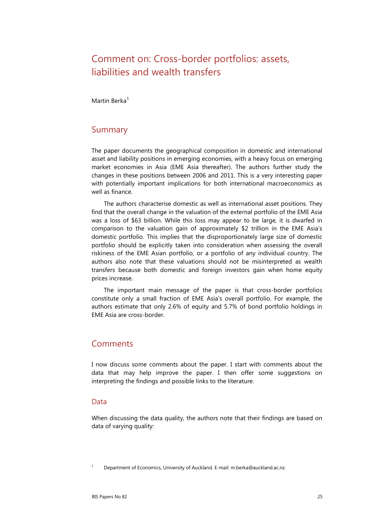# Comment on: Cross-border portfolios: assets, liabilities and wealth transfers

Martin Berka<sup>[1](#page-0-0)</sup>

# Summary

The paper documents the geographical composition in domestic and international asset and liability positions in emerging economies, with a heavy focus on emerging market economies in Asia (EME Asia thereafter). The authors further study the changes in these positions between 2006 and 2011. This is a very interesting paper with potentially important implications for both international macroeconomics as well as finance.

The authors characterise domestic as well as international asset positions. They find that the overall change in the valuation of the external portfolio of the EME Asia was a loss of \$63 billion. While this loss may appear to be large, it is dwarfed in comparison to the valuation gain of approximately \$2 trillion in the EME Asia's domestic portfolio. This implies that the disproportionately large size of domestic portfolio should be explicitly taken into consideration when assessing the overall riskiness of the EME Asian portfolio, or a portfolio of any individual country. The authors also note that these valuations should not be misinterpreted as wealth transfers because both domestic and foreign investors gain when home equity prices increase.

The important main message of the paper is that cross-border portfolios constitute only a small fraction of EME Asia's overall portfolio. For example, the authors estimate that only 2.6% of equity and 5.7% of bond portfolio holdings in EME Asia are cross-border.

## Comments

I now discuss some comments about the paper. I start with comments about the data that may help improve the paper. I then offer some suggestions on interpreting the findings and possible links to the literature.

#### Data

When discussing the data quality, the authors note that their findings are based on data of varying quality:

<span id="page-0-0"></span><sup>1</sup> Department of Economics, University of Auckland. E-mail[: m.berka@auckland.ac.nz.](mailto:m.berka@auckland.ac.nz)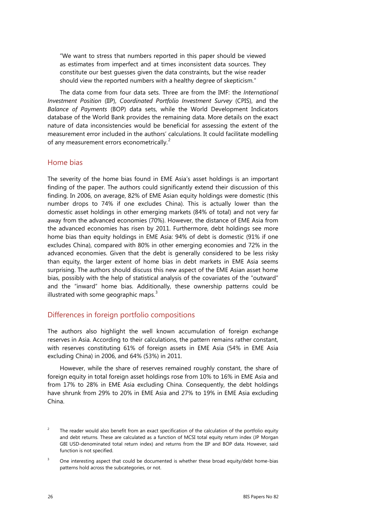"We want to stress that numbers reported in this paper should be viewed as estimates from imperfect and at times inconsistent data sources. They constitute our best guesses given the data constraints, but the wise reader should view the reported numbers with a healthy degree of skepticism."

The data come from four data sets. Three are from the IMF: the *International Investment Position* (IIP), *Coordinated Portfolio Investment Survey* (CPIS), and the *Balance of Payments* (BOP) data sets, while the World Development Indicators database of the World Bank provides the remaining data. More details on the exact nature of data inconsistencies would be beneficial for assessing the extent of the measurement error included in the authors' calculations. It could facilitate modelling of any measurement errors econometrically.<sup>[2](#page-1-0)</sup>

### Home bias

The severity of the home bias found in EME Asia's asset holdings is an important finding of the paper. The authors could significantly extend their discussion of this finding. In 2006, on average, 82% of EME Asian equity holdings were domestic (this number drops to 74% if one excludes China). This is actually lower than the domestic asset holdings in other emerging markets (84% of total) and not very far away from the advanced economies (70%). However, the distance of EME Asia from the advanced economies has risen by 2011. Furthermore, debt holdings see more home bias than equity holdings in EME Asia: 94% of debt is domestic (91% if one excludes China), compared with 80% in other emerging economies and 72% in the advanced economies. Given that the debt is generally considered to be less risky than equity, the larger extent of home bias in debt markets in EME Asia seems surprising. The authors should discuss this new aspect of the EME Asian asset home bias, possibly with the help of statistical analysis of the covariates of the "outward" and the "inward" home bias. Additionally, these ownership patterns could be illustrated with some geographic maps.<sup>[3](#page-1-1)</sup>

### Differences in foreign portfolio compositions

The authors also highlight the well known accumulation of foreign exchange reserves in Asia. According to their calculations, the pattern remains rather constant, with reserves constituting 61% of foreign assets in EME Asia (54% in EME Asia excluding China) in 2006, and 64% (53%) in 2011.

However, while the share of reserves remained roughly constant, the share of foreign equity in total foreign asset holdings rose from 10% to 16% in EME Asia and from 17% to 28% in EME Asia excluding China. Consequently, the debt holdings have shrunk from 29% to 20% in EME Asia and 27% to 19% in EME Asia excluding China.

<span id="page-1-0"></span>The reader would also benefit from an exact specification of the calculation of the portfolio equity and debt returns. These are calculated as a function of MCSI total equity return index (JP Morgan GBI USD-denominated total return index) and returns from the IIP and BOP data. However, said function is not specified.

<span id="page-1-1"></span><sup>&</sup>lt;sup>3</sup> One interesting aspect that could be documented is whether these broad equity/debt home-bias patterns hold across the subcategories, or not.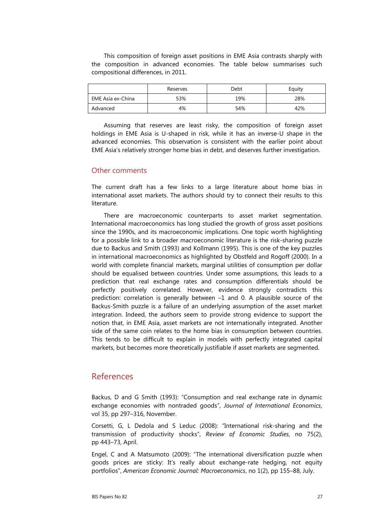This composition of foreign asset positions in EME Asia contrasts sharply with the composition in advanced economies. The table below summarises such compositional differences, in 2011.

|                   | Reserves | Debt | Equity |
|-------------------|----------|------|--------|
| EME Asia ex-China | 53%      | 19%  | 28%    |
| Advanced          | 4%       | 54%  | 42%    |

Assuming that reserves are least risky, the composition of foreign asset holdings in EME Asia is U-shaped in risk, while it has an inverse-U shape in the advanced economies. This observation is consistent with the earlier point about EME Asia's relatively stronger home bias in debt, and deserves further investigation.

#### Other comments

The current draft has a few links to a large literature about home bias in international asset markets. The authors should try to connect their results to this literature.

There are macroeconomic counterparts to asset market segmentation. International macroeconomics has long studied the growth of gross asset positions since the 1990s, and its macroeconomic implications. One topic worth highlighting for a possible link to a broader macroeconomic literature is the risk-sharing puzzle due to Backus and Smith (1993) and Kollmann (1995). This is one of the key puzzles in international macroeconomics as highlighted by Obstfeld and Rogoff (2000). In a world with complete financial markets, marginal utilities of consumption per dollar should be equalised between countries. Under some assumptions, this leads to a prediction that real exchange rates and consumption differentials should be perfectly positively correlated. However, evidence strongly contradicts this prediction: correlation is generally between –1 and 0. A plausible source of the Backus-Smith puzzle is a failure of an underlying assumption of the asset market integration. Indeed, the authors seem to provide strong evidence to support the notion that, in EME Asia, asset markets are not internationally integrated. Another side of the same coin relates to the home bias in consumption between countries. This tends to be difficult to explain in models with perfectly integrated capital markets, but becomes more theoretically justifiable if asset markets are segmented.

## References

Backus, D and G Smith (1993): "Consumption and real exchange rate in dynamic exchange economies with nontraded goods", *Journal of International Economics*, vol 35, pp 297–316, November.

Corsetti, G, L Dedola and S Leduc (2008): "International risk-sharing and the transmission of productivity shocks", *Review of Economic Studies*, no 75(2), pp 443–73, April.

Engel, C and A Matsumoto (2009): "The international diversification puzzle when goods prices are sticky: It's really about exchange-rate hedging, not equity portfolios", *American Economic Journal: Macroeconomics*, no 1(2), pp 155–88, July.